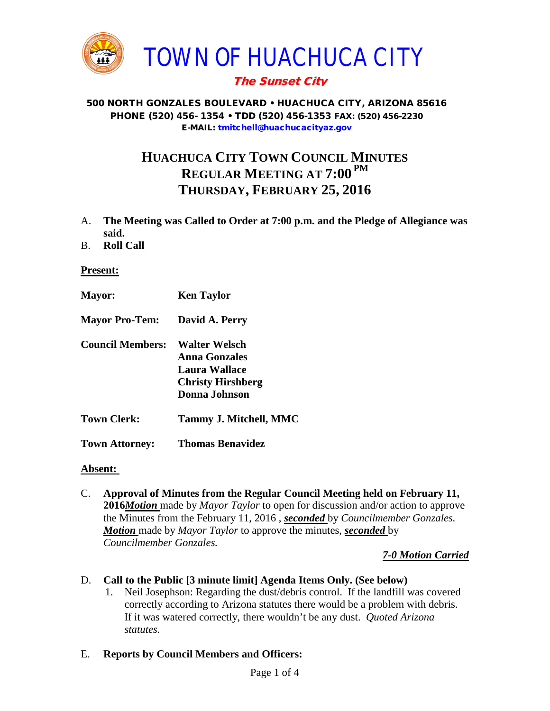

## The Sunset City

#### 500 NORTH GONZALES BOULEVARD • HUACHUCA CITY, ARIZONA 85616 PHONE (520) 456- 1354 • TDD (520) 456-1353 FAX: (520) 456-2230 E-MAIL: [tmitchell@huachucacityaz.gov](mailto:tmitchell@huachucacityaz.gov)

# **HUACHUCA CITY TOWN COUNCIL MINUTES REGULAR MEETING AT 7:00 PM THURSDAY, FEBRUARY 25, 2016**

- A. **The Meeting was Called to Order at 7:00 p.m. and the Pledge of Allegiance was said.**
- B. **Roll Call**

### **Present:**

**Mayor: Ken Taylor Mayor Pro-Tem: David A. Perry Council Members: Walter Welsch Anna Gonzales Laura Wallace Christy Hirshberg Donna Johnson Town Clerk: Tammy J. Mitchell, MMC Town Attorney: Thomas Benavidez**

#### **Absent:**

C. **Approval of Minutes from the Regular Council Meeting held on February 11, 2016***Motion* made by *Mayor Taylor* to open for discussion and/or action to approve the Minutes from the February 11, 2016 , *seconded* by *Councilmember Gonzales. Motion* made by *Mayor Taylor* to approve the minutes, *seconded* by *Councilmember Gonzales.*

*7-0 Motion Carried*

## D. **Call to the Public [3 minute limit] Agenda Items Only. (See below)**

- 1. Neil Josephson: Regarding the dust/debris control. If the landfill was covered correctly according to Arizona statutes there would be a problem with debris. If it was watered correctly, there wouldn't be any dust. *Quoted Arizona statutes.*
- E. **Reports by Council Members and Officers:**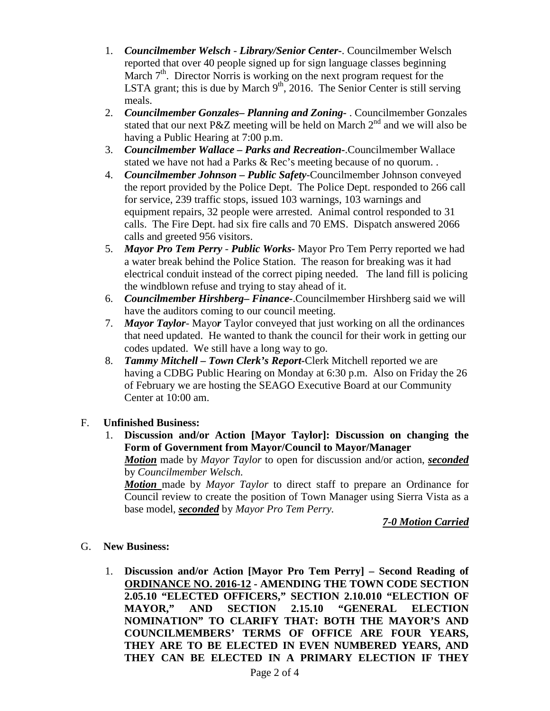- 1. *Councilmember Welsch - Library/Senior Center***-**. Councilmember Welsch reported that over 40 people signed up for sign language classes beginning March  $7<sup>th</sup>$ . Director Norris is working on the next program request for the LSTA grant; this is due by March  $9<sup>th</sup>$ , 2016. The Senior Center is still serving meals.
- 2. *Councilmember Gonzales***–** *Planning and Zoning-* . Councilmember Gonzales stated that our next P&Z meeting will be held on March  $2<sup>nd</sup>$  and we will also be having a Public Hearing at 7:00 p.m.
- 3. *Councilmember Wallace* **–** *Parks and Recreation***-**.Councilmember Wallace stated we have not had a Parks & Rec's meeting because of no quorum. .
- 4. *Councilmember Johnson – Public Safety-*Councilmember Johnson conveyed the report provided by the Police Dept. The Police Dept. responded to 266 call for service, 239 traffic stops, issued 103 warnings, 103 warnings and equipment repairs, 32 people were arrested. Animal control responded to 31 calls. The Fire Dept. had six fire calls and 70 EMS. Dispatch answered 2066 calls and greeted 956 visitors.
- 5. *Mayor Pro Tem Perry Public Works-* Mayor Pro Tem Perry reported we had a water break behind the Police Station. The reason for breaking was it had electrical conduit instead of the correct piping needed. The land fill is policing the windblown refuse and trying to stay ahead of it.
- 6. *Councilmember Hirshberg***–** *Finance-*.Councilmember Hirshberg said we will have the auditors coming to our council meeting.
- 7. *Mayor Taylor* Mayo*r* Taylor conveyed that just working on all the ordinances that need updated. He wanted to thank the council for their work in getting our codes updated. We still have a long way to go.
- 8. *Tammy Mitchell – Town Clerk's Report-*Clerk Mitchell reported we are having a CDBG Public Hearing on Monday at 6:30 p.m. Also on Friday the 26 of February we are hosting the SEAGO Executive Board at our Community Center at 10:00 am.

## F. **Unfinished Business:**

1. **Discussion and/or Action [Mayor Taylor]: Discussion on changing the Form of Government from Mayor/Council to Mayor/Manager**

*Motion* made by *Mayor Taylor* to open for discussion and/or action, *seconded* by *Councilmember Welsch.* 

*Motion* made by *Mayor Taylor* to direct staff to prepare an Ordinance for Council review to create the position of Town Manager using Sierra Vista as a base model, *seconded* by *Mayor Pro Tem Perry.*

*7-0 Motion Carried*

#### G. **New Business:**

1. **Discussion and/or Action [Mayor Pro Tem Perry] – Second Reading of ORDINANCE NO. 2016-12 - AMENDING THE TOWN CODE SECTION 2.05.10 "ELECTED OFFICERS," SECTION 2.10.010 "ELECTION OF MAYOR," AND SECTION 2.15.10 "GENERAL ELECTION NOMINATION" TO CLARIFY THAT: BOTH THE MAYOR'S AND COUNCILMEMBERS' TERMS OF OFFICE ARE FOUR YEARS, THEY ARE TO BE ELECTED IN EVEN NUMBERED YEARS, AND THEY CAN BE ELECTED IN A PRIMARY ELECTION IF THEY**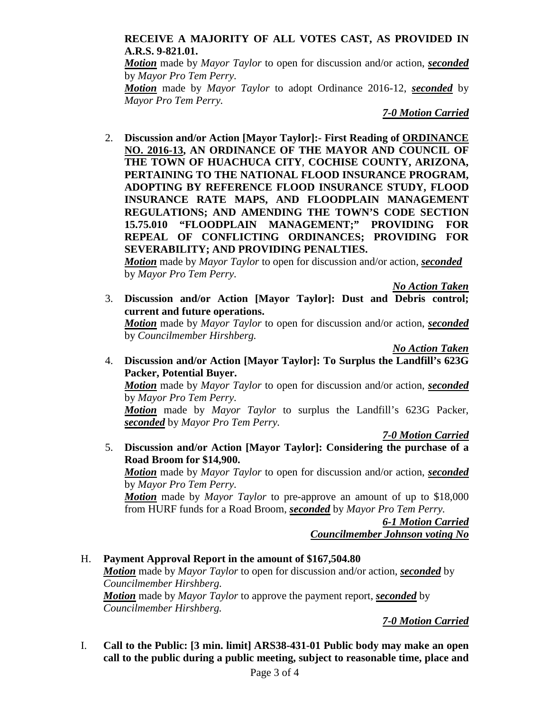## **RECEIVE A MAJORITY OF ALL VOTES CAST, AS PROVIDED IN A.R.S. 9-821.01.**

*Motion* made by *Mayor Taylor* to open for discussion and/or action, *seconded* by *Mayor Pro Tem Perry.*

*Motion* made by *Mayor Taylor* to adopt Ordinance 2016-12, *seconded* by *Mayor Pro Tem Perry.*

*7-0 Motion Carried*

2. **Discussion and/or Action [Mayor Taylor]:- First Reading of ORDINANCE NO. 2016-13, AN ORDINANCE OF THE MAYOR AND COUNCIL OF THE TOWN OF HUACHUCA CITY**, **COCHISE COUNTY, ARIZONA, PERTAINING TO THE NATIONAL FLOOD INSURANCE PROGRAM, ADOPTING BY REFERENCE FLOOD INSURANCE STUDY, FLOOD INSURANCE RATE MAPS, AND FLOODPLAIN MANAGEMENT REGULATIONS; AND AMENDING THE TOWN'S CODE SECTION 15.75.010 "FLOODPLAIN MANAGEMENT;" PROVIDING FOR REPEAL OF CONFLICTING ORDINANCES; PROVIDING FOR SEVERABILITY; AND PROVIDING PENALTIES.**

*Motion* made by *Mayor Taylor* to open for discussion and/or action, *seconded* by *Mayor Pro Tem Perry.*

*No Action Taken*

3. **Discussion and/or Action [Mayor Taylor]: Dust and Debris control; current and future operations.**

*Motion* made by *Mayor Taylor* to open for discussion and/or action, *seconded* by *Councilmember Hirshberg.*

*No Action Taken*

4. **Discussion and/or Action [Mayor Taylor]: To Surplus the Landfill's 623G Packer, Potential Buyer.** 

*Motion* made by *Mayor Taylor* to open for discussion and/or action, *seconded* by *Mayor Pro Tem Perry.*

*Motion* made by *Mayor Taylor* to surplus the Landfill's 623G Packer, *seconded* by *Mayor Pro Tem Perry.*

*7-0 Motion Carried*

5. **Discussion and/or Action [Mayor Taylor]: Considering the purchase of a Road Broom for \$14,900.**

*Motion* made by *Mayor Taylor* to open for discussion and/or action, *seconded* by *Mayor Pro Tem Perry.*

*Motion* made by *Mayor Taylor* to pre-approve an amount of up to \$18,000 from HURF funds for a Road Broom, *seconded* by *Mayor Pro Tem Perry.*

> *6-1 Motion Carried Councilmember Johnson voting No*

#### H. **Payment Approval Report in the amount of \$167,504.80** *Motion* made by *Mayor Taylor* to open for discussion and/or action, *seconded* by *Councilmember Hirshberg. Motion* made by *Mayor Taylor* to approve the payment report, *seconded* by *Councilmember Hirshberg.*

## *7-0 Motion Carried*

I. **Call to the Public: [3 min. limit] ARS38-431-01 Public body may make an open call to the public during a public meeting, subject to reasonable time, place and**